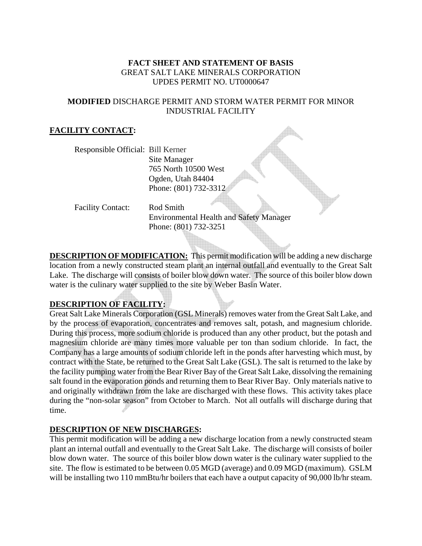# **FACT SHEET AND STATEMENT OF BASIS**  GREAT SALT LAKE MINERALS CORPORATION UPDES PERMIT NO. UT0000647

# **MODIFIED** DISCHARGE PERMIT AND STORM WATER PERMIT FOR MINOR INDUSTRIAL FACILITY

# **FACILITY CONTACT:**

Responsible Official: Bill Kerner Site Manager 765 North 10500 West Ogden, Utah 84404 Phone: (801) 732-3312

Facility Contact: Rod Smith

Environmental Health and Safety Manager Phone: (801) 732-3251

**DESCRIPTION OF MODIFICATION:** This permit modification will be adding a new discharge location from a newly constructed steam plant an internal outfall and eventually to the Great Salt Lake. The discharge will consists of boiler blow down water. The source of this boiler blow down water is the culinary water supplied to the site by Weber Basin Water.

# **DESCRIPTION OF FACILITY:**

Great Salt Lake Minerals Corporation (GSL Minerals) removes water from the Great Salt Lake, and by the process of evaporation, concentrates and removes salt, potash, and magnesium chloride. During this process, more sodium chloride is produced than any other product, but the potash and magnesium chloride are many times more valuable per ton than sodium chloride. In fact, the Company has a large amounts of sodium chloride left in the ponds after harvesting which must, by contract with the State, be returned to the Great Salt Lake (GSL). The salt is returned to the lake by the facility pumping water from the Bear River Bay of the Great Salt Lake, dissolving the remaining salt found in the evaporation ponds and returning them to Bear River Bay. Only materials native to and originally withdrawn from the lake are discharged with these flows. This activity takes place during the "non-solar season" from October to March. Not all outfalls will discharge during that time.

## **DESCRIPTION OF NEW DISCHARGES:**

This permit modification will be adding a new discharge location from a newly constructed steam plant an internal outfall and eventually to the Great Salt Lake. The discharge will consists of boiler blow down water. The source of this boiler blow down water is the culinary water supplied to the site. The flow is estimated to be between 0.05 MGD (average) and 0.09 MGD (maximum). GSLM will be installing two 110 mmBtu/hr boilers that each have a output capacity of 90,000 lb/hr steam.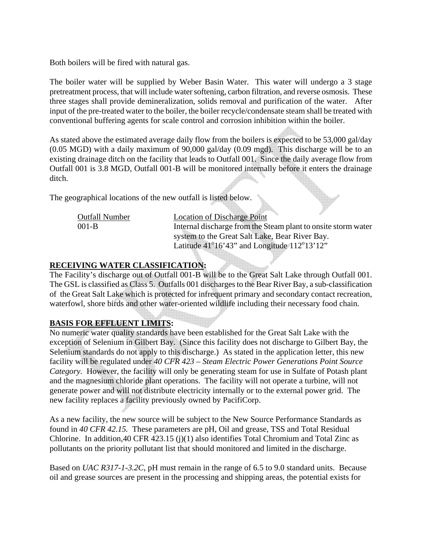Both boilers will be fired with natural gas.

The boiler water will be supplied by Weber Basin Water. This water will undergo a 3 stage pretreatment process, that will include water softening, carbon filtration, and reverse osmosis. These three stages shall provide demineralization, solids removal and purification of the water. After input of the pre-treated water to the boiler, the boiler recycle/condensate steam shall be treated with conventional buffering agents for scale control and corrosion inhibition within the boiler.

As stated above the estimated average daily flow from the boilers is expected to be 53,000 gal/day (0.05 MGD) with a daily maximum of 90,000 gal/day (0.09 mgd). This discharge will be to an existing drainage ditch on the facility that leads to Outfall 001. Since the daily average flow from Outfall 001 is 3.8 MGD, Outfall 001-B will be monitored internally before it enters the drainage ditch.

The geographical locations of the new outfall is listed below.

| <b>Outfall Number</b> | <b>Location of Discharge Point</b>                              |
|-----------------------|-----------------------------------------------------------------|
| $001 - B$             | Internal discharge from the Steam plant to onsite storm water   |
|                       | system to the Great Salt Lake, Bear River Bay.                  |
|                       | Latitude $41^{\circ}16'43''$ and Longitude $112^{\circ}13'12''$ |

## **RECEIVING WATER CLASSIFICATION:**

The Facility's discharge out of Outfall 001-B will be to the Great Salt Lake through Outfall 001. The GSL is classified as Class 5. Outfalls 001 discharges to the Bear River Bay, a sub-classification of the Great Salt Lake which is protected for infrequent primary and secondary contact recreation, waterfowl, shore birds and other water-oriented wildlife including their necessary food chain.

#### **BASIS FOR EFFLUENT LIMITS:**

No numeric water quality standards have been established for the Great Salt Lake with the exception of Selenium in Gilbert Bay. (Since this facility does not discharge to Gilbert Bay, the Selenium standards do not apply to this discharge.) As stated in the application letter, this new facility will be regulated under *40 CFR 423 – Steam Electric Power Generations Point Source Category.* However, the facility will only be generating steam for use in Sulfate of Potash plant and the magnesium chloride plant operations. The facility will not operate a turbine, will not generate power and will not distribute electricity internally or to the external power grid. The new facility replaces a facility previously owned by PacifiCorp.

As a new facility, the new source will be subject to the New Source Performance Standards as found in *40 CFR 42.15.* These parameters are pH, Oil and grease, TSS and Total Residual Chlorine. In addition,40 CFR 423.15 (j)(1) also identifies Total Chromium and Total Zinc as pollutants on the priority pollutant list that should monitored and limited in the discharge.

Based on *UAC R317-1-3.2C*, pH must remain in the range of 6.5 to 9.0 standard units. Because oil and grease sources are present in the processing and shipping areas, the potential exists for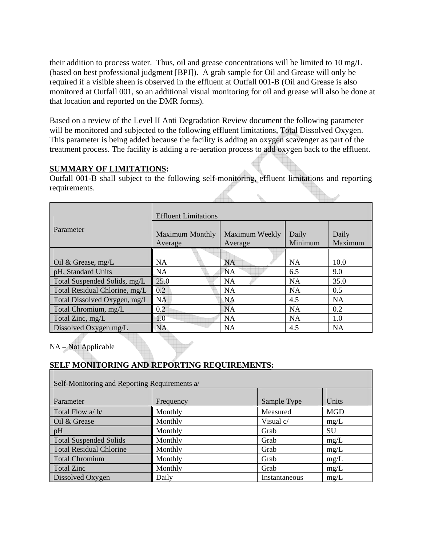their addition to process water. Thus, oil and grease concentrations will be limited to 10 mg/L (based on best professional judgment [BPJ]). A grab sample for Oil and Grease will only be required if a visible sheen is observed in the effluent at Outfall 001-B (Oil and Grease is also monitored at Outfall 001, so an additional visual monitoring for oil and grease will also be done at that location and reported on the DMR forms).

Based on a review of the Level II Anti Degradation Review document the following parameter will be monitored and subjected to the following effluent limitations, Total Dissolved Oxygen. This parameter is being added because the facility is adding an oxygen scavenger as part of the treatment process. The facility is adding a re-aeration process to add oxygen back to the effluent.

# **SUMMARY OF LIMITATIONS:**

Outfall 001-B shall subject to the following self-monitoring, effluent limitations and reporting requirements.

|                               | <b>Effluent Limitations</b>       |                           |                  |                  |  |
|-------------------------------|-----------------------------------|---------------------------|------------------|------------------|--|
| Parameter                     | <b>Maximum Monthly</b><br>Average | Maximum Weekly<br>Average | Daily<br>Minimum | Daily<br>Maximum |  |
|                               |                                   |                           |                  |                  |  |
| Oil & Grease, $mg/L$          | <b>NA</b>                         | <b>NA</b>                 | <b>NA</b>        | 10.0             |  |
| pH, Standard Units            | NA                                | <b>NA</b>                 | 6.5              | 9.0              |  |
| Total Suspended Solids, mg/L  | 25.0                              | <b>NA</b>                 | <b>NA</b>        | 35.0             |  |
| Total Residual Chlorine, mg/L | 0.2                               | <b>NA</b>                 | <b>NA</b>        | 0.5              |  |
| Total Dissolved Oxygen, mg/L  | <b>NA</b>                         | <b>NA</b>                 | 4.5              | <b>NA</b>        |  |
| Total Chromium, mg/L          | 0.2                               | <b>NA</b>                 | <b>NA</b>        | 0.2              |  |
| Total Zinc, mg/L              | 1.0                               | <b>NA</b>                 | <b>NA</b>        | 1.0              |  |
| Dissolved Oxygen mg/L         | <b>NA</b>                         | NA                        | 4.5              | <b>NA</b>        |  |

NA – Not Applicable

# **SELF MONITORING AND REPORTING REQUIREMENTS:**

| Self-Monitoring and Reporting Requirements a/ |           |               |            |  |  |  |
|-----------------------------------------------|-----------|---------------|------------|--|--|--|
| Parameter                                     | Frequency | Sample Type   | Units      |  |  |  |
| Total Flow a/b/                               | Monthly   | Measured      | <b>MGD</b> |  |  |  |
| Oil & Grease                                  | Monthly   | Visual c/     | mg/L       |  |  |  |
| pH                                            | Monthly   | Grab          | SU         |  |  |  |
| <b>Total Suspended Solids</b>                 | Monthly   | Grab          | mg/L       |  |  |  |
| <b>Total Residual Chlorine</b>                | Monthly   | Grab          | mg/L       |  |  |  |
| <b>Total Chromium</b>                         | Monthly   | Grab          | mg/L       |  |  |  |
| <b>Total Zinc</b>                             | Monthly   | Grab          | mg/L       |  |  |  |
| Dissolved Oxygen                              | Daily     | Instantaneous | mg/L       |  |  |  |